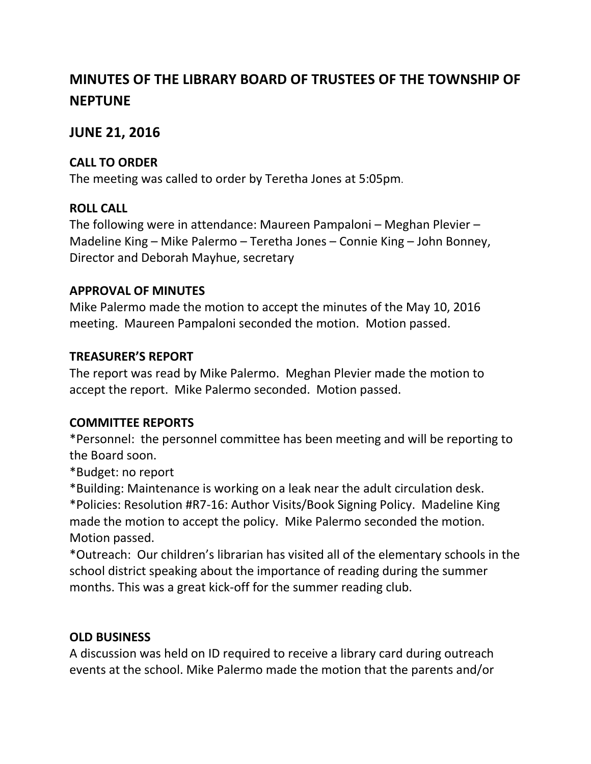# **MINUTES OF THE LIBRARY BOARD OF TRUSTEES OF THE TOWNSHIP OF NEPTUNE**

#### **JUNE 21, 2016**

#### **CALL TO ORDER**

The meeting was called to order by Teretha Jones at 5:05pm.

### **ROLL CALL**

The following were in attendance: Maureen Pampaloni – Meghan Plevier – Madeline King – Mike Palermo – Teretha Jones – Connie King – John Bonney, Director and Deborah Mayhue, secretary

### **APPROVAL OF MINUTES**

Mike Palermo made the motion to accept the minutes of the May 10, 2016 meeting. Maureen Pampaloni seconded the motion. Motion passed.

### **TREASURER'S REPORT**

The report was read by Mike Palermo. Meghan Plevier made the motion to accept the report. Mike Palermo seconded. Motion passed.

#### **COMMITTEE REPORTS**

\*Personnel: the personnel committee has been meeting and will be reporting to the Board soon.

\*Budget: no report

\*Building: Maintenance is working on a leak near the adult circulation desk. \*Policies: Resolution #R7-16: Author Visits/Book Signing Policy. Madeline King made the motion to accept the policy. Mike Palermo seconded the motion. Motion passed.

\*Outreach: Our children's librarian has visited all of the elementary schools in the school district speaking about the importance of reading during the summer months. This was a great kick-off for the summer reading club.

## **OLD BUSINESS**

A discussion was held on ID required to receive a library card during outreach events at the school. Mike Palermo made the motion that the parents and/or